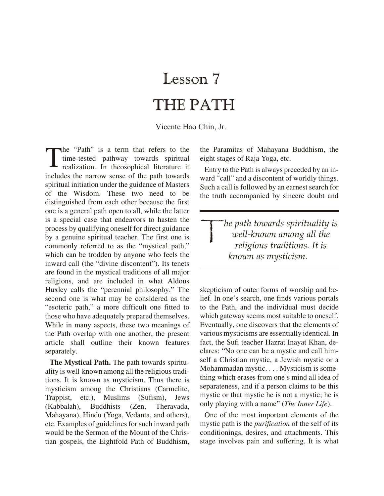## Lesson 7 THE PATH

Vicente Hao Chin, Jr.

T he "Path" is a term that refers to the time-tested pathway towards spiritual realization. In theosophical literature it includes the narrow sense of the path towards spiritual initiation under the guidance of Masters of the Wisdom. These two need to be distinguished from each other because the first one is a general path open to all, while the latter is a special case that endeavors to hasten the process by qualifying oneself for direct guidance by a genuine spiritual teacher. The first one is commonly referred to as the "mystical path," which can be trodden by anyone who feels the inward call (the "divine discontent"). Its tenets are found in the mystical traditions of all major religions, and are included in what Aldous Huxley calls the "perennial philosophy." The second one is what may be considered as the "esoteric path," a more difficult one fitted to those who have adequately prepared themselves. While in many aspects, these two meanings of the Path overlap with one another, the present article shall outline their known features separately.

**The Mystical Path.** The path towards spirituality is well-known among all the religious traditions. It is known as mysticism. Thus there is mysticism among the Christians (Carmelite, Trappist, etc.), Muslims (Sufism), Jews (Kabbalah), Buddhists (Zen, Theravada, Mahayana), Hindu (Yoga, Vedanta, and others), etc. Examples of guidelines for such inward path would be the Sermon of the Mount of the Christian gospels, the Eightfold Path of Buddhism,

the Paramitas of Mahayana Buddhism, the eight stages of Raja Yoga, etc.

Entry to the Path is always preceded by an inward "call" and a discontent of worldly things. Such a call is followed by an earnest search for the truth accompanied by sincere doubt and

 $\begin{array}{c} \hline \end{array}$ *he path to wards spir i tu al ity is well-known among all the re li gious tra di tions. It is known as mys ti cism.* 

skepticism of outer forms of worship and belief. In one's search, one finds various portals to the Path, and the individual must decide which gateway seems most suitable to one self. Eventually, one discovers that the elements of various mysticisms are essentially identical. In fact, the Sufi teacher Hazrat Inayat Khan, declares: "No one can be a mystic and call himself a Christian mystic, a Jewish mystic or a Mohammadan mystic. . . . Mysticism is something which erases from one's mind all idea of separateness, and if a person claims to be this mystic or that mystic he is not a mystic; he is only playing with a name" (*The Inner Life*).

One of the most important elements of the mystic path is the *purification* of the self of its conditionings, desires, and attachments. This stage involves pain and suffering. It is what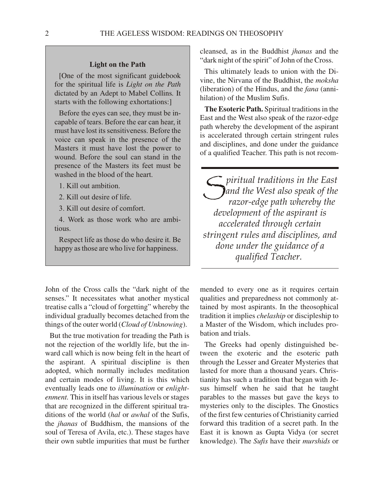## **Light on the Path**

[One of the most significant guidebook] for the spiritual life is *Light on the Path* dic tated by an Ad ept to Mabel Collins*.* It starts with the following exhortations:]

Before the eyes can see, they must be incapable of tears. Before the ear can hear, it must have lost its sensitiveness. Before the voice can speak in the presence of the Masters it must have lost the power to wound. Before the soul can stand in the presence of the Masters its feet must be washed in the blood of the heart.

- 1. Kill out ambition.
- 2. Kill out desire of life.
- 3. Kill out desire of comfort.

4. Work as those work who are ambitious.

Respect life as those do who desire it. Be happy as those are who live for happiness.

John of the Cross calls the "dark night of the senses." It necessitates what another mystical treatise calls a "cloud of forgetting" whereby the individual gradually becomes detached from the things of the outer world (*Cloud of Unknowing*).

But the true motivation for treading the Path is not the rejection of the worldly life, but the inward call which is now being felt in the heart of the aspirant. A spiritual discipline is then adopted, which normally includes meditation and certain modes of living. It is this which eventually leads one to *illumination* or *enlightenment*. This in itself has various levels or stages that are recognized in the different spiritual traditions of the world (*hal* or *awhal* of the Sufis, the *jhanas* of Buddhism, the mansions of the soul of Teresa of Avila, etc.). These stages have their own subtle impurities that must be further cleansed, as in the Buddhist *jhanas* and the "dark night of the spirit" of John of the Cross.

This ultimately leads to union with the Divine, the Nirvana of the Buddhist, the *moksha* (liberation) of the Hindus, and the *fana* (annihilation) of the Muslim Sufis.

**The Esoteric Path.** Spiritual traditions in the East and the West also speak of the razor-edge path whereby the development of the aspirant is accelerated through certain stringent rules and disciplines, and done under the guidance of a qualified Teacher. This path is not recom-

*S* piritual traditions in the East<br>and the West also speak of the<br>razor-edoe nath whereby the *and the West also speak of the ra zor-edge path whereby the de vel op ment of the as pi rant is ac cel er ated through cer tain strin gent rules and dis ci plines, and done un der the guid ance of a qualified Teacher.* 

mended to every one as it requires certain qualities and preparedness not commonly attained by most aspirants. In the theosophical tradition it implies *chelaship* or discipleship to a Master of the Wisdom, which includes probation and trials.

The Greeks had openly distinguished between the exoteric and the esoteric path through the Lesser and Greater Mysteries that lasted for more than a thousand years. Christianity has such a tradition that began with Jesus him self when he said that he taught parables to the masses but gave the keys to mysteries only to the disciples. The Gnostics of the first few centuries of Christianity carried forward this tradition of a secret path. In the East it is known as Gupta Vidya (or secret knowl edge). The *Sufis* have their *murshids* or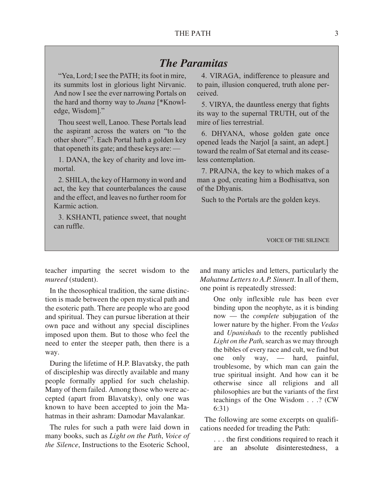## *The Paramitas*

"Yea, Lord; I see the PATH; its foot in mire, its summits lost in glorious light Nirvanic. And now I see the ever narrowing Portals on the hard and thorny way to *Jnana* [\*Knowledge, Wisdom]."

Thou seest well, Lanoo. These Portals lead the aspirant across the waters on "to the other shore"7. Each Portal hath a golden key that openeth its gate; and these keys are: —

1. DANA, the key of charity and love immortal.

2. SHILA, the key of Harmony in word and act, the key that counterbalances the cause and the effect, and leaves no further room for Karmic action.

3. KSHANTI, patience sweet, that nought can ruffle.

4. VIRAGA, indifference to pleasure and to pain, illusion conquered, truth alone perceived.

5. VIRYA, the dauntless energy that fights its way to the supernal TRUTH, out of the mire of lies terrestrial

6. DHYANA, whose golden gate once opened leads the Narjol [a saint, an adept.] toward the realm of Sat eternal and its ceaseless contemplation.

7. PRAJNA, the key to which makes of a man a god, creating him a Bodhisattva, son of the Dhyanis.

Such to the Portals are the golden keys.

VOICE OF THE SILENCE

teacher imparting the secret wisdom to the *mureed* (student).

In the theosophical tradition, the same distinction is made between the open mystical path and the esoteric path. There are people who are good and spiritual. They can pursue liberation at their own pace and without any special disciplines im posed upon them. But to those who feel the need to enter the steeper path, then there is a way.

During the lifetime of H.P. Blavatsky, the path of discipleship was directly available and many people formally applied for such chelaship. Many of them failed. Among those who were ac cepted (apart from Blavatsky), only one was known to have been accepted to join the Mahatmas in their ashram: Damodar Mavalankar.

The rules for such a path were laid down in many books, such as *Light on the Path*, *Voice of the Silence*, Instructions to the Esoteric School,

and many articles and letters, particularly the *Ma hatma Let ters to A.P. Sinnett*. In all of them, one point is repeatedly stressed:

One only inflexible rule has been ever binding upon the neophyte, as it is binding now — the *complete* subjugation of the lower nature by the higher. From the *Vedas* and *Upanishads* to the recently published *Light on the Path,* search as we may through the bibles of every race and cult, we find but one only way, — hard, painful, troublesome, by which man can gain the true spiritual insight. And how can it be otherwise since all religions and all philosophies are but the variants of the first teachings of the One Wisdom . . .? (CW 6:31)

The following are some excerpts on qualifications needed for treading the Path:

. . . the first conditions required to reach it are an absolute disinterestedness, a